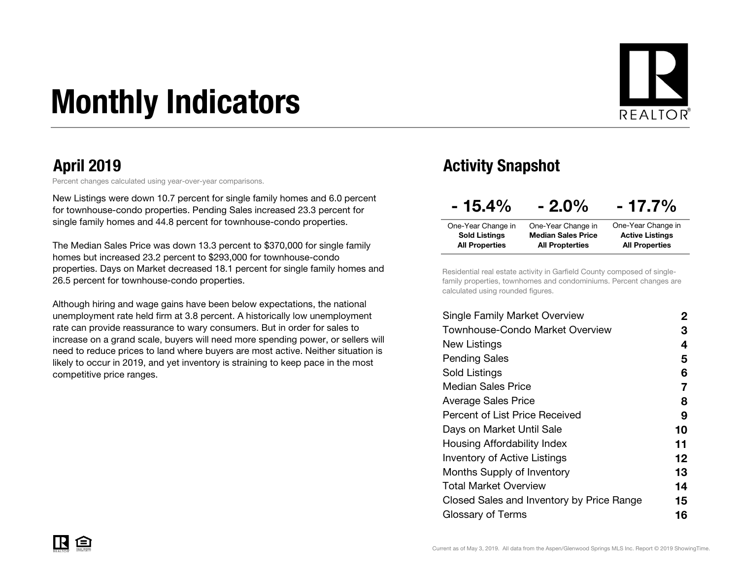# Monthly Indicators



Percent changes calculated using year-over-year comparisons.

New Listings were down 10.7 percent for single family homes and 6.0 percent for townhouse-condo properties. Pending Sales increased 23.3 percent for single family homes and 44.8 percent for townhouse-condo properties.

The Median Sales Price was down 13.3 percent to \$370,000 for single family homes but increased 23.2 percent to \$293,000 for townhouse-condo properties. Days on Market decreased 18.1 percent for single family homes and 26.5 percent for townhouse-condo properties.

Although hiring and wage gains have been below expectations, the national unemployment rate held firm at 3.8 percent. A historically low unemployment rate can provide reassurance to wary consumers. But in order for sales to increase on a grand scale, buyers will need more spending power, or sellers will need to reduce prices to land where buyers are most active. Neither situation is likely to occur in 2019, and yet inventory is straining to keep pace in the most competitive price ranges.

### April 2019 Activity Snapshot

| $-15.4\%$             | $-2.0\%$                  | $-17.7\%$              |
|-----------------------|---------------------------|------------------------|
| One-Year Change in    | One-Year Change in        | One-Year Change in     |
| <b>Sold Listings</b>  | <b>Median Sales Price</b> | <b>Active Listings</b> |
| <b>All Properties</b> | <b>All Propterties</b>    | <b>All Properties</b>  |

Residential real estate activity in Garfield County composed of singlefamily properties, townhomes and condominiums. Percent changes are calculated using rounded figures.

| Single Family Market Overview             | 2                 |
|-------------------------------------------|-------------------|
| Townhouse-Condo Market Overview           | З                 |
| New Listings                              | 4                 |
| <b>Pending Sales</b>                      | 5                 |
| Sold Listings                             | 6                 |
| <b>Median Sales Price</b>                 | 7                 |
| Average Sales Price                       | 8                 |
| <b>Percent of List Price Received</b>     | 9                 |
| Days on Market Until Sale                 | 10                |
| Housing Affordability Index               | 11                |
| <b>Inventory of Active Listings</b>       | $12 \ \mathsf{ }$ |
| <b>Months Supply of Inventory</b>         | 13                |
| Total Market Overview                     | 14                |
| Closed Sales and Inventory by Price Range | 15                |
| Glossary of Terms                         | 16                |
|                                           |                   |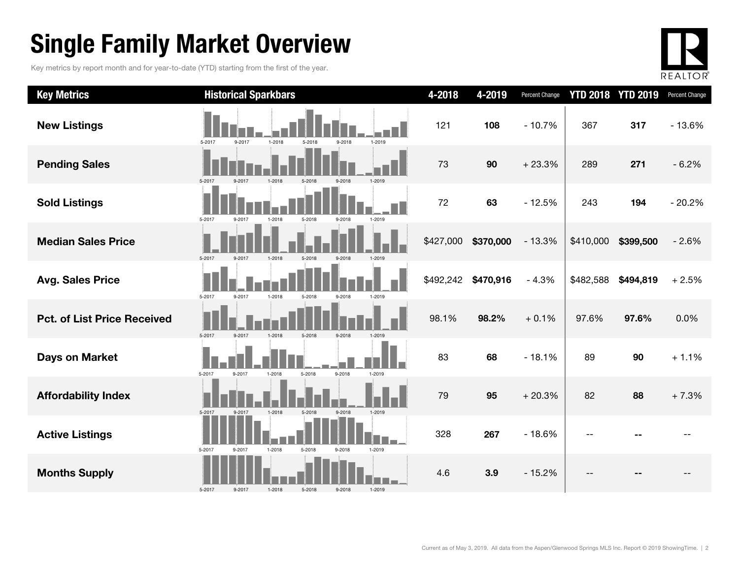## Single Family Market Overview

Key metrics by report month and for year-to-date (YTD) starting from the first of the year.



| <b>Key Metrics</b>                 | <b>Historical Sparkbars</b>                                  | 4-2018    | 4-2019    | <b>Percent Change</b> |           | <b>YTD 2018 YTD 2019</b> | Percent Change |
|------------------------------------|--------------------------------------------------------------|-----------|-----------|-----------------------|-----------|--------------------------|----------------|
| <b>New Listings</b>                | 5-2017<br>9-2017<br>$1 - 2018$<br>5-2018<br>9-2018<br>1-2019 | 121       | 108       | $-10.7%$              | 367       | 317                      | $-13.6%$       |
| <b>Pending Sales</b>               | 5-2017<br>1-2019<br>$9 - 201$<br>1-2018<br>5-2018            | 73        | 90        | $+23.3%$              | 289       | 271                      | $-6.2%$        |
| <b>Sold Listings</b>               | 5-2017<br>9-2017<br>1-2018<br>5-2018<br>9-2018<br>1-2019     | 72        | 63        | $-12.5%$              | 243       | 194                      | $-20.2%$       |
| <b>Median Sales Price</b>          | 5-2017<br>9-2017<br>1-2018<br>9-2018<br>1-2019<br>5-2018     | \$427,000 | \$370,000 | $-13.3%$              | \$410,000 | \$399,500                | $-2.6%$        |
| <b>Avg. Sales Price</b>            | 5-2017<br>9-2017<br>1-2018<br>5-2018<br>9-2018<br>1-2019     | \$492,242 | \$470,916 | $-4.3%$               | \$482,588 | \$494,819                | $+2.5%$        |
| <b>Pct. of List Price Received</b> | 5-2017<br>9-2017<br>1-2018<br>$5 - 2018$<br>9-2018<br>1-2019 | 98.1%     | 98.2%     | $+0.1%$               | 97.6%     | 97.6%                    | 0.0%           |
| <b>Days on Market</b>              | 9-2018<br>5-2017<br>9-2017<br>1-2018<br>5-2018<br>1-2019     | 83        | 68        | $-18.1%$              | 89        | 90                       | $+1.1%$        |
| <b>Affordability Index</b>         | 1-2019<br>5-2017<br>9-2017<br>1-2018<br>$9 - 2018$<br>5-2018 | 79        | 95        | $+20.3%$              | 82        | 88                       | $+7.3%$        |
| <b>Active Listings</b>             | 5-2017<br>$1 - 2018$<br>5-2018<br>1-2019<br>9-2017<br>9-2018 | 328       | 267       | $-18.6%$              |           |                          |                |
| <b>Months Supply</b>               | 5-2017<br>9-2018<br>1-2019<br>9-2017<br>$1 - 2018$<br>5-2018 | 4.6       | 3.9       | $-15.2%$              |           |                          |                |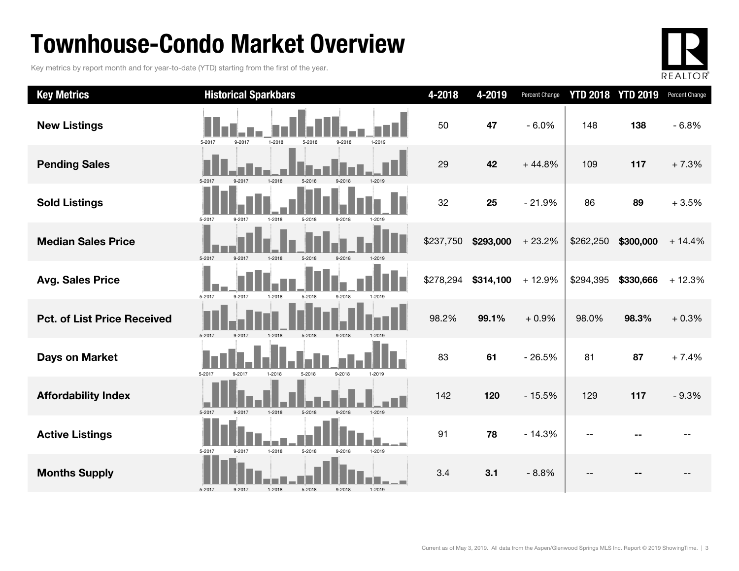## Townhouse-Condo Market Overview

Key metrics by report month and for year-to-date (YTD) starting from the first of the year.



| <b>Key Metrics</b>                 | <b>Historical Sparkbars</b>                              | 4-2018    | 4-2019    | Percent Change |           | <b>YTD 2018 YTD 2019</b> | Percent Change |
|------------------------------------|----------------------------------------------------------|-----------|-----------|----------------|-----------|--------------------------|----------------|
| <b>New Listings</b>                | 5-2017<br>9-2017<br>1-2018<br>5-2018<br>9-2018<br>1-2019 | 50        | 47        | $-6.0%$        | 148       | 138                      | $-6.8%$        |
| <b>Pending Sales</b>               | 5.2013                                                   | 29        | 42        | $+44.8%$       | 109       | 117                      | $+7.3%$        |
| <b>Sold Listings</b>               | 5-2017<br>9-2017<br>1-2018<br>5-2018<br>9-2018           | 32        | 25        | $-21.9%$       | 86        | 89                       | $+3.5%$        |
| <b>Median Sales Price</b>          | 5-2017<br>9-2017<br>$1-2018$                             | \$237,750 | \$293,000 | $+23.2%$       | \$262,250 | \$300,000                | $+14.4%$       |
| <b>Avg. Sales Price</b>            | 5-2017<br>9-2017<br>$1 - 2018$<br>5-2018<br>9-2018       | \$278,294 | \$314,100 | $+12.9%$       | \$294,395 | \$330,666                | $+12.3%$       |
| <b>Pct. of List Price Received</b> | 5-2017<br>5-2018<br>9-2017<br>1-2018<br>9-2018           | 98.2%     | 99.1%     | $+0.9%$        | 98.0%     | 98.3%                    | $+0.3%$        |
| <b>Days on Market</b>              | 5-2017<br>9-2018<br>1-2018<br>5-2018<br>1-2019<br>9-2017 | 83        | 61        | $-26.5%$       | 81        | 87                       | $+7.4%$        |
| <b>Affordability Index</b>         | 1-2018<br>1-2019<br>5-2017<br>5-2018<br>9-2018<br>9-2017 | 142       | 120       | $-15.5%$       | 129       | 117                      | $-9.3%$        |
| <b>Active Listings</b>             | 1-2018<br>5-2018<br>1-2019<br>5-2017<br>9-2017<br>9-2018 | 91        | 78        | $-14.3%$       |           |                          |                |
| <b>Months Supply</b>               | 5-2017<br>5-2018<br>9-2018<br>1-2019<br>9-2017<br>1-2018 | 3.4       | 3.1       | $-8.8%$        | $-$       |                          |                |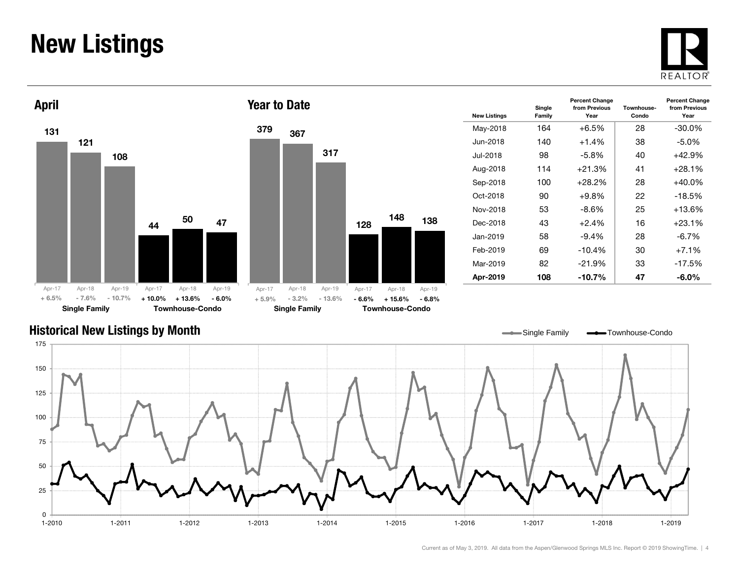### New Listings







| <b>New Listings</b> | Single<br>Family | <b>Percent Change</b><br>from Previous<br>Year | Townhouse-<br>Condo | <b>Percent Change</b><br>from Previous<br>Year |
|---------------------|------------------|------------------------------------------------|---------------------|------------------------------------------------|
| May-2018            | 164              | $+6.5\%$                                       | 28                  | $-30.0\%$                                      |
| Jun-2018            | 140              | $+1.4%$                                        | 38                  | $-5.0%$                                        |
| Jul-2018            | 98               | $-5.8%$                                        | 40                  | $+42.9%$                                       |
| Aug-2018            | 114              | $+21.3%$                                       | 41                  | $+28.1%$                                       |
| Sep-2018            | 100              | $+28.2%$                                       | 28                  | $+40.0\%$                                      |
| Oct-2018            | 90               | $+9.8\%$                                       | 22                  | $-18.5%$                                       |
| Nov-2018            | 53               | -8.6%                                          | 25                  | $+13.6%$                                       |
| Dec-2018            | 43               | $+2.4%$                                        | 16                  | $+23.1%$                                       |
| Jan-2019            | 58               | $-9.4\%$                                       | 28                  | $-6.7\%$                                       |
| Feb-2019            | 69               | $-10.4%$                                       | 30                  | $+7.1%$                                        |
| Mar-2019            | 82               | $-21.9%$                                       | 33                  | $-17.5%$                                       |
| Apr-2019            | 108              | $-10.7\%$                                      | 47                  | -6.0%                                          |

### Historical New Listings by Month

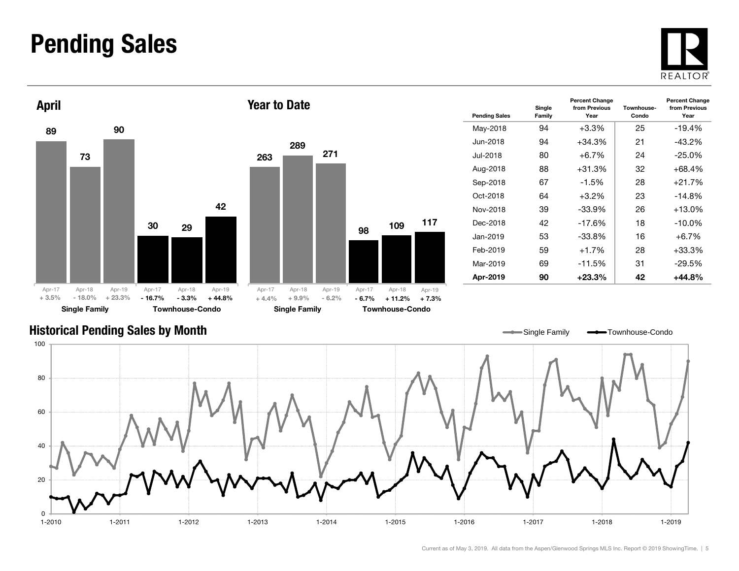### Pending Sales







Year to Date

| <b>Pending Sales</b> | Single<br>Family | <b>Percent Change</b><br>from Previous<br>Year | Townhouse-<br>Condo | <b>Percent Change</b><br>from Previous<br>Year |
|----------------------|------------------|------------------------------------------------|---------------------|------------------------------------------------|
| May-2018             | 94               | $+3.3%$                                        | 25                  | $-19.4%$                                       |
| Jun-2018.            | 94               | $+34.3%$                                       | 21                  | $-43.2%$                                       |
| .Jul-2018            | 80               | $+6.7\%$                                       | 24                  | $-25.0%$                                       |
| Aug-2018             | 88               | $+31.3%$                                       | 32                  | +68.4%                                         |
| Sep-2018             | 67               | $-1.5%$                                        | 28                  | $+21.7%$                                       |
| Oct-2018             | 64               | $+3.2\%$                                       | 23                  | $-14.8\%$                                      |
| Nov-2018             | 39               | -33.9%                                         | 26                  | +13.0%                                         |
| Dec-2018             | 42               | $-17.6%$                                       | 18                  | $-10.0\%$                                      |
| Jan-2019.            | 53               | -33.8%                                         | 16                  | $+6.7\%$                                       |
| Feb-2019             | 59               | $+1.7%$                                        | 28                  | +33.3%                                         |
| Mar-2019             | 69               | -11.5%                                         | 31                  | -29.5%                                         |
| Apr-2019             | 90               | +23.3%                                         | 42                  | +44.8%                                         |

Single Family **-**Townhouse-Condo

### Historical Pending Sales by Month



Current as of May 3, 2019. All data from the Aspen/Glenwood Springs MLS Inc. Report © 2019 ShowingTime. | 5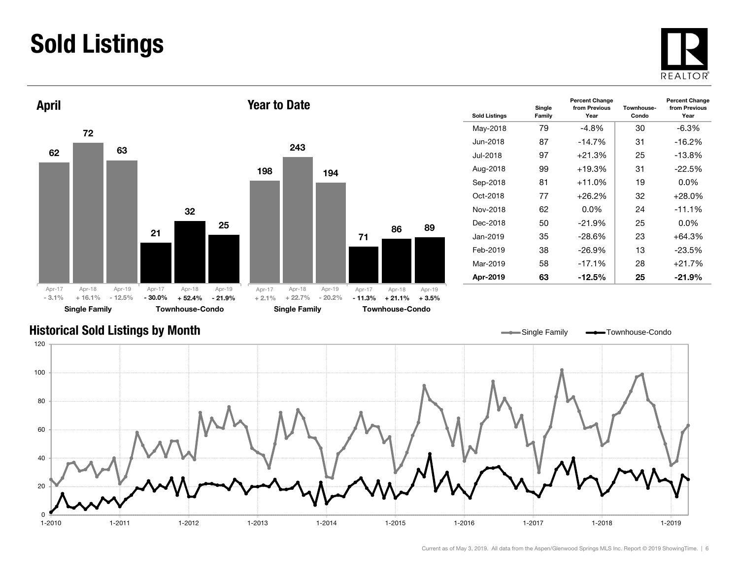## Sold Listings





| <b>Sold Listings</b> | Single<br>Family | <b>Percent Change</b><br>from Previous<br>Year | Townhouse-<br>Condo | <b>Percent Change</b><br>from Previous<br>Year |
|----------------------|------------------|------------------------------------------------|---------------------|------------------------------------------------|
| May-2018             | 79               | -4.8%                                          | 30                  | -6.3%                                          |
| Jun-2018             | 87               | $-14.7%$                                       | 31                  | $-16.2%$                                       |
| Jul-2018             | 97               | $+21.3%$                                       | 25                  | $-13.8\%$                                      |
| Aug-2018             | 99               | +19.3%                                         | 31                  | $-22.5%$                                       |
| Sep-2018             | 81               | $+11.0\%$                                      | 19                  | $0.0\%$                                        |
| $Oct-2018$           | 77               | $+26.2\%$                                      | 32                  | +28.0%                                         |
| Nov-2018             | 62               | $0.0\%$                                        | 24                  | $-11.1%$                                       |
| Dec-2018             | 50               | $-21.9%$                                       | 25                  | $0.0\%$                                        |
| Jan-2019             | 35               | $-28.6\%$                                      | 23                  | +64.3%                                         |
| Feb-2019             | 38               | $-26.9%$                                       | 13                  | $-23.5%$                                       |
| Mar-2019             | 58               | $-17.1%$                                       | 28                  | $+21.7%$                                       |
| Apr-2019             | 63               | -12.5%                                         | 25                  | $-21.9%$                                       |

### Historical Sold Listings by Month



89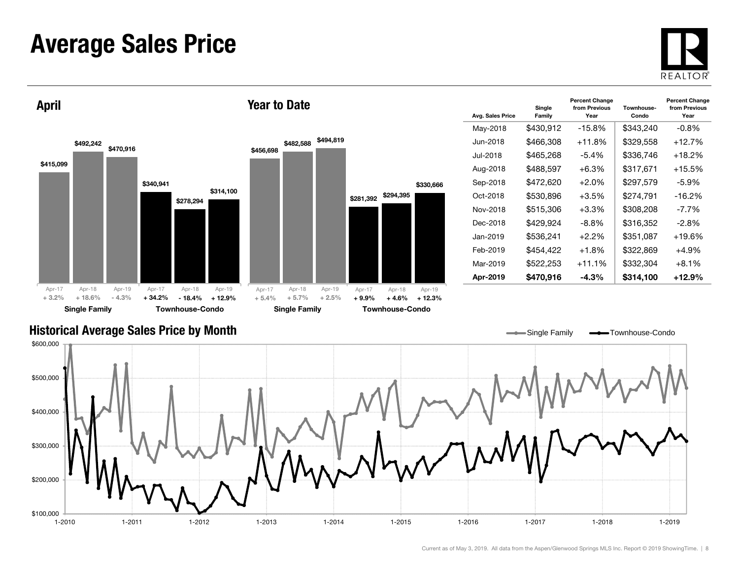### Average Sales Price



\$415,099 \$340,941 \$492,242 \$278,294 \$470,916 \$314,100 Single Family Townhouse-Condo April \$456,698 \$281,392 \$294,395 \$482,588 \$494,819 \$330,666 Single Family Townhouse-Condo Year to Date+ 3.2% $+ 18.6\%$  $-4.3\% + 34.2\%$  - 18.4% $+ 12.9\% + 5.4\%$  $+ 5.7\%$   $+ 2.5\%$   $+ 9.9\%$   $+ 4.6\%$   $+ 12.3\%$ Apr-17 Apr-18 Apr-19 Apr-17 Apr-18 Apr-19 Apr-17 Apr-17 Apr-18 Apr-19 Apr-18 Apr-19

| Avg. Sales Price | Single<br>Family | <b>Percent Change</b><br>from Previous<br>Year | Townhouse-<br>Condo | <b>Percent Change</b><br>from Previous<br>Year |
|------------------|------------------|------------------------------------------------|---------------------|------------------------------------------------|
| May-2018         | \$430,912        | $-15.8%$                                       | \$343,240           | $-0.8%$                                        |
| Jun-2018.        | \$466,308        | $+11.8%$                                       | \$329,558           | $+12.7%$                                       |
| .Jul-2018        | \$465.268        | $-5.4\%$                                       | \$336.746           | $+18.2\%$                                      |
| Aug-2018         | \$488,597        | $+6.3%$                                        | \$317,671           | $+15.5\%$                                      |
| Sep-2018         | \$472,620        | $+2.0%$                                        | \$297,579           | $-5.9%$                                        |
| Oct-2018         | \$530,896        | $+3.5%$                                        | \$274,791           | $-16.2\%$                                      |
| Nov-2018         | \$515,306        | $+3.3%$                                        | \$308,208           | $-7.7\%$                                       |
| Dec-2018         | \$429,924        | -8.8%                                          | \$316,352           | -2.8%                                          |
| Jan-2019.        | \$536,241        | $+2.2\%$                                       | \$351,087           | $+19.6%$                                       |
| Feb-2019         | \$454.422        | $+1.8%$                                        | \$322.869           | +4.9%                                          |
| Mar-2019         | \$522,253        | $+11.1%$                                       | \$332,304           | $+8.1%$                                        |
| Apr-2019         | \$470,916        | $-4.3%$                                        | \$314,100           | $+12.9%$                                       |

Single Family **- Townhouse-Condo** 

 $\overline{\phantom{0}}$ 

### Historical Average Sales Price by Month

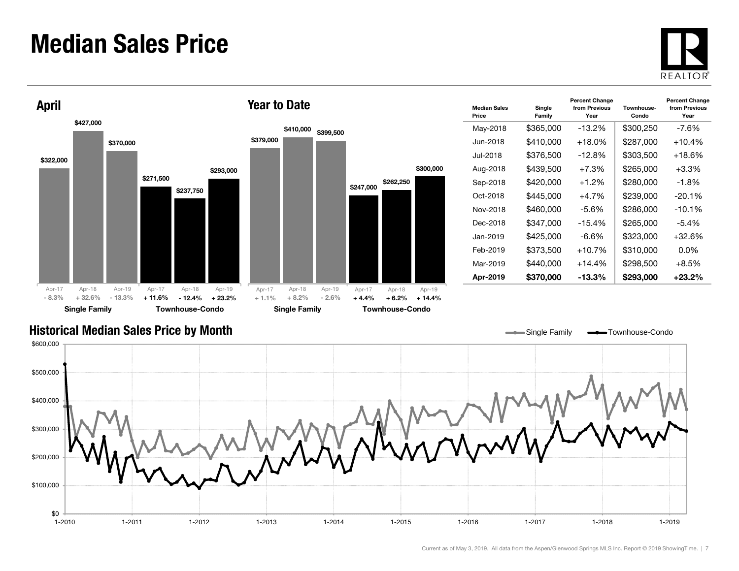### Median Sales Price





| <b>Median Sales</b><br>Price | Single<br>Family | <b>Percent Change</b><br>from Previous<br>Year | Townhouse-<br>Condo | <b>Percent Change</b><br>from Previous<br>Year |
|------------------------------|------------------|------------------------------------------------|---------------------|------------------------------------------------|
| May-2018                     | \$365,000        | $-13.2\%$                                      | \$300,250           | -7.6%                                          |
| Jun-2018.                    | \$410,000        | $+18.0%$                                       | \$287,000           | $+10.4%$                                       |
| Jul-2018                     | \$376,500        | $-12.8\%$                                      | \$303,500           | $+18.6\%$                                      |
| Aug-2018                     | \$439,500        | $+7.3%$                                        | \$265,000           | $+3.3\%$                                       |
| Sep-2018                     | \$420,000        | $+1.2%$                                        | \$280,000           | $-1.8%$                                        |
| Oct-2018                     | \$445,000        | $+4.7\%$                                       | \$239,000           | $-20.1\%$                                      |
| Nov-2018                     | \$460,000        | -5.6%                                          | \$286,000           | $-10.1\%$                                      |
| Dec-2018                     | \$347,000        | $-15.4%$                                       | \$265,000           | $-5.4%$                                        |
| Jan-2019.                    | \$425,000        | -6.6%                                          | \$323,000           | $+32.6\%$                                      |
| Feb-2019                     | \$373,500        | $+10.7%$                                       | \$310,000           | 0.0%                                           |
| Mar-2019                     | \$440,000        | $+14.4%$                                       | \$298,500           | $+8.5\%$                                       |
| Apr-2019                     | \$370,000        | $-13.3\%$                                      | \$293.000           | $+23.2\%$                                      |

Single Family **-** Townhouse-Condo

### Historical Median Sales Price by Month

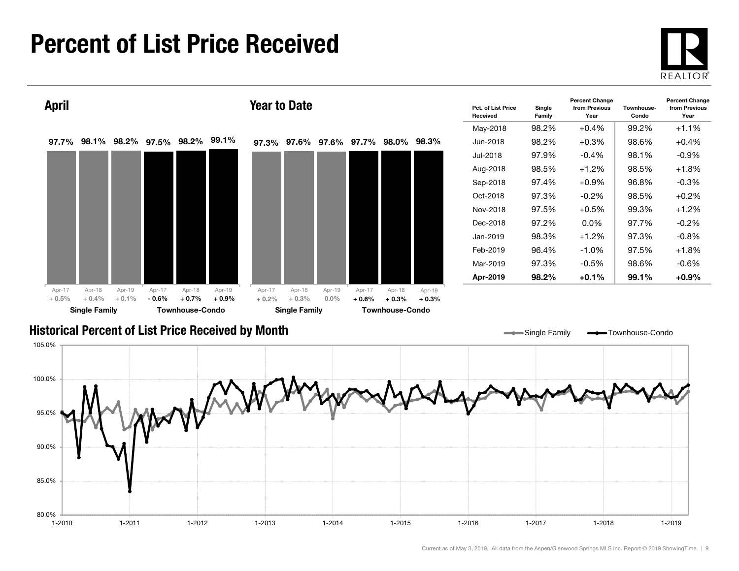### Percent of List Price Received

80.0%

85.0%

90.0%





1-2010 1-2011 1-2012 1-2013 1-2014 1-2015 1-2016 1-2017 1-2018 1-2019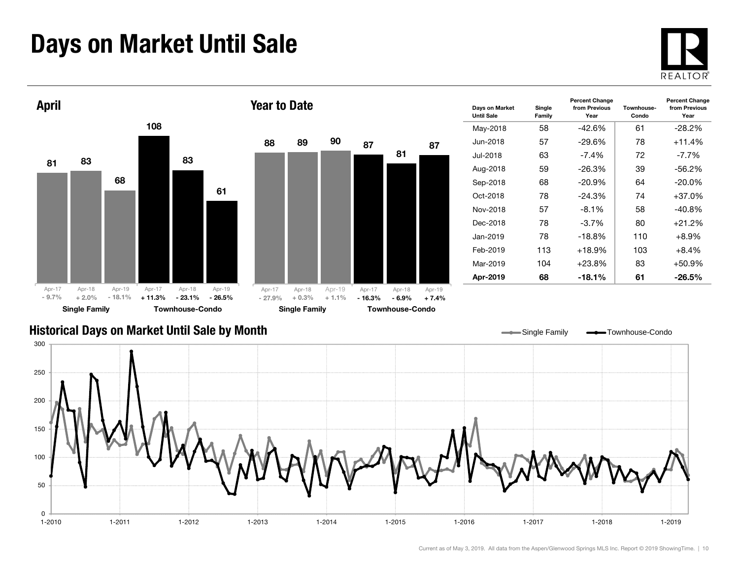## Days on Market Until Sale





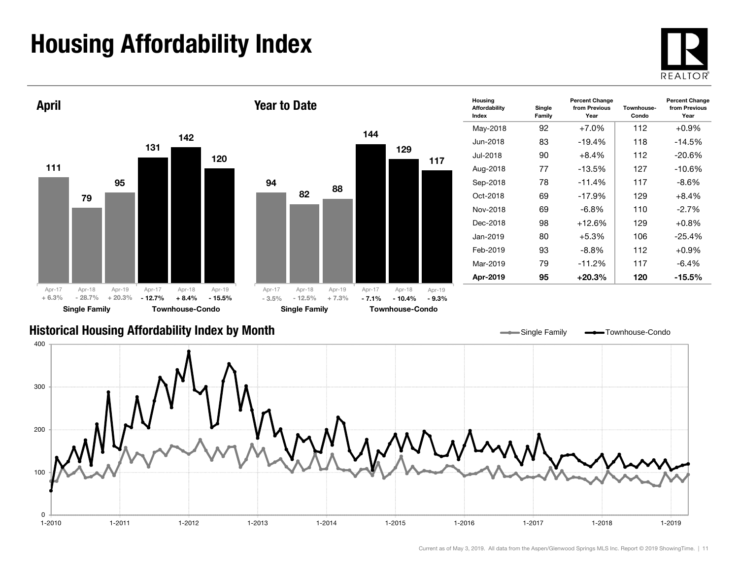## Housing Affordability Index

 $\Omega$ 

100





1-2010 1-2011 1-2012 1-2013 1-2014 1-2015 1-2016 1-2017 1-2018 1-2019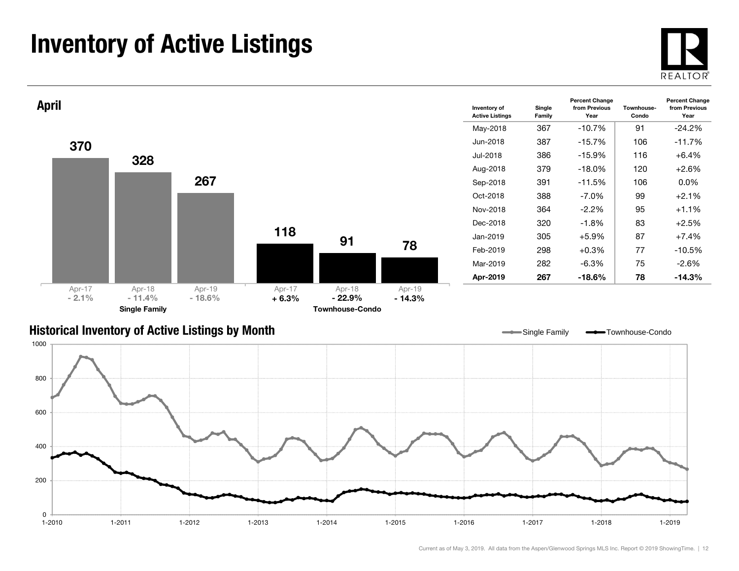## Inventory of Active Listings





### Historical Inventory of Active Listings by Month

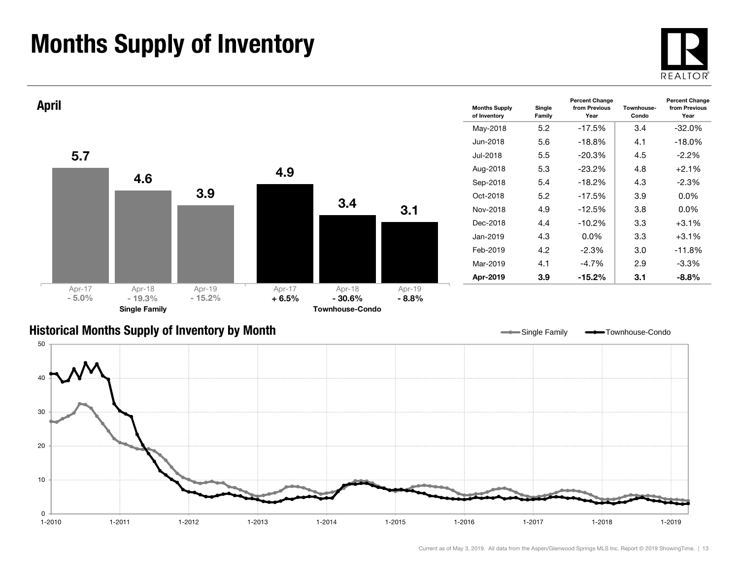## Months Supply of Inventory

0 $1 - 2010$ 

10

20



1-2019



1-2010 1-2011 1-2012 1-2013 1-2014 1-2015 1-2016 1-2017 1-2018 1-2019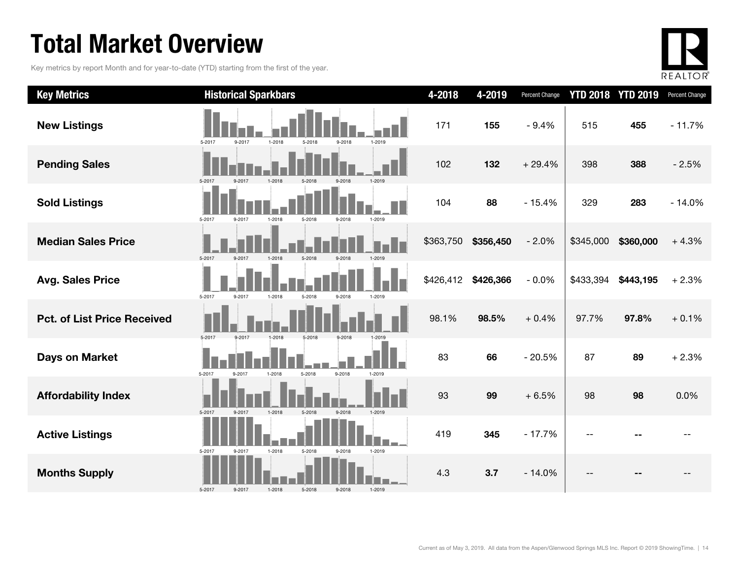## Total Market Overview

Key metrics by report Month and for year-to-date (YTD) starting from the first of the year.



| <b>Key Metrics</b>                 | <b>Historical Sparkbars</b>                                  | 4-2018    | 4-2019    | Percent Change | <b>YTD 2018 YTD 2019</b> |           | Percent Change |
|------------------------------------|--------------------------------------------------------------|-----------|-----------|----------------|--------------------------|-----------|----------------|
| <b>New Listings</b>                | 9-2017<br>$1 - 2018$<br>9-2018<br>1-2019<br>5-2017<br>5-2018 | 171       | 155       | $-9.4%$        | 515                      | 455       | $-11.7%$       |
| <b>Pending Sales</b>               | 5-2017<br>9-2017<br>1-2019<br>1-2018<br>5-2018<br>9-2018     | 102       | 132       | $+29.4%$       | 398                      | 388       | $-2.5%$        |
| <b>Sold Listings</b>               | 5-2017<br>9-2017<br>1-2018<br>5-2018<br>9-2018<br>1-2019     | 104       | 88        | $-15.4%$       | 329                      | 283       | $-14.0%$       |
| <b>Median Sales Price</b>          | 5-2017<br>1-2018<br>9-2017<br>5-2018<br>9-2018               | \$363,750 | \$356,450 | $-2.0%$        | \$345,000                | \$360,000 | $+4.3%$        |
| <b>Avg. Sales Price</b>            | 5-2017<br>9-2017<br>1-2018<br>5-2018<br>9-2018<br>1-2019     | \$426,412 | \$426,366 | $-0.0%$        | \$433,394                | \$443,195 | $+2.3%$        |
| <b>Pct. of List Price Received</b> | 5-2017<br>9-2017<br>1-2018<br>5-2018<br>9-2018               | 98.1%     | 98.5%     | $+0.4%$        | 97.7%                    | 97.8%     | $+0.1%$        |
| <b>Days on Market</b>              | 5-2018<br>9-2018<br>5-2017<br>$1 - 2018$<br>1-2019<br>9-2017 | 83        | 66        | $-20.5%$       | 87                       | 89        | $+2.3%$        |
| <b>Affordability Index</b>         | 1-2019<br>5-2017<br>9-2017<br>1-2018<br>5-2018<br>9-2018     | 93        | 99        | $+6.5%$        | 98                       | 98        | 0.0%           |
| <b>Active Listings</b>             | 5-2017<br>9-2017<br>1-2018<br>5-2018<br>1-2019<br>9-2018     | 419       | 345       | $-17.7%$       |                          |           |                |
| <b>Months Supply</b>               | 5-2017<br>9-2017<br>5-2018<br>9-2018<br>1-2019<br>1-2018     | 4.3       | 3.7       | $-14.0%$       |                          |           |                |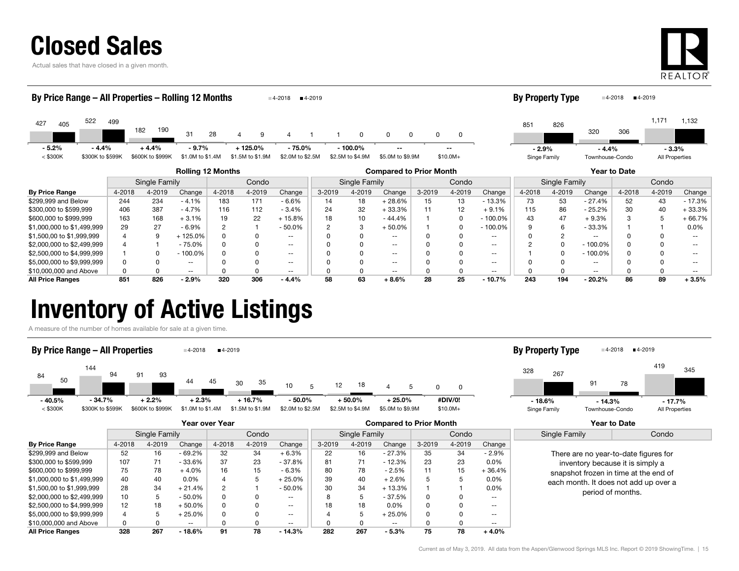|  |  |  | <b>Closed Sales</b> |  |
|--|--|--|---------------------|--|
|  |  |  |                     |  |

Actual sales that have closed in a given month.



| By Price Range – All Properties – Rolling 12 Months |                  |                  |        |                          |                |                  | 4-2018                   | ■4-2019 |                  |                                |        |                   |               | By Property Type |                |                          | $4-2019$<br>■4-2018 |                |               |
|-----------------------------------------------------|------------------|------------------|--------|--------------------------|----------------|------------------|--------------------------|---------|------------------|--------------------------------|--------|-------------------|---------------|------------------|----------------|--------------------------|---------------------|----------------|---------------|
| 522<br>427<br>405                                   | 499              | 182              | 190    | 31                       | 28             | q                |                          |         | 0                | n<br>$\Omega$                  | 0      | 0                 |               | 851              | 826            | 320                      | 306                 | 1,171          | 1,132         |
| $-5.2%$                                             | $-4.4%$          | $+4.4%$          |        | $-9.7%$                  |                | $+125.0%$        | - 75.0%                  |         | $-100.0\%$       | $- -$                          |        | --                |               | $-2.9%$          |                | $-4.4%$                  |                     | $-3.3%$        |               |
| $<$ \$300K                                          | \$300K to \$599K | \$600K to \$999K |        | \$1.0M to \$1.4M         |                | \$1.5M to \$1.9M | \$2.0M to \$2.5M         |         | \$2.5M to \$4.9M | \$5.0M to \$9.9M               |        | $$10.0M+$         |               | Singe Family     |                | Townhouse-Condo          |                     | All Properties |               |
|                                                     |                  |                  |        | <b>Rolling 12 Months</b> |                |                  |                          |         |                  | <b>Compared to Prior Month</b> |        |                   |               |                  |                |                          | Year to Date        |                |               |
|                                                     |                  | Single Family    |        |                          |                | Condo            |                          |         | Single Family    |                                |        | Condo             |               |                  | Single Family  |                          |                     | Condo          |               |
| <b>By Price Range</b>                               | 4-2018           |                  | 4-2019 | Change                   | 4-2018         | 4-2019           | Change                   | 3-2019  | 4-2019           | Change                         | 3-2019 | 4-2019            | Change        | 4-2018           | 4-2019         | Change                   | 4-2018              | 4-2019         | Change        |
| \$299,999 and Below                                 | 244              |                  | 234    | $-4.1%$                  | 183            | 171              | $-6.6%$                  | 14      | 18               | $+28.6%$                       | 15     | 13                | $-13.3%$      | 73               | 53             | $-27.4%$                 | 52                  | 43             | $-17.3%$      |
| \$300,000 to \$599,999                              | 406              |                  | 387    | $-4.7%$                  | 116            | 112              | $-3.4%$                  | 24      | 32               | $+33.3%$                       |        | $12 \overline{ }$ | $+9.1%$       | 115              | 86             | $-25.2%$                 | 30                  | 40             | $+33.3%$      |
| \$600,000 to \$999,999                              | 163              |                  | 168    | $+3.1%$                  | 19             | 22               | $+15.8%$                 | 18      | 10               | $-44.4%$                       |        | <sup>0</sup>      | $-100.0\%$    | 43               | 47             | $+9.3%$                  |                     | 5              | $+66.7%$      |
| \$1,000,000 to \$1,499,999                          | 29               |                  | 27     | $-6.9%$                  | $\overline{c}$ |                  | $-50.0\%$                |         | 3                | $+50.0%$                       |        | 0                 | $-100.0\%$    |                  | 6              | $-33.3%$                 |                     |                | 0.0%          |
| \$1,500,00 to \$1,999,999                           |                  |                  | 9      | + 125.0%                 |                | O                | $- -$                    |         | $\Omega$         | $\overline{\phantom{m}}$       |        | <sup>0</sup>      | $\sim$ $\sim$ |                  | $\overline{2}$ | $\overline{\phantom{m}}$ |                     | <sup>0</sup>   | $\sim$ $\sim$ |
| \$2,000,000 to \$2,499,999                          |                  |                  |        | $-75.0%$                 |                |                  | $\overline{\phantom{a}}$ |         |                  | $\overline{\phantom{m}}$       |        |                   | $\sim$ $\sim$ |                  | $\Omega$       | $-100.0%$                |                     | <sup>0</sup>   | $\sim$ $\sim$ |
| \$2,500,000 to \$4,999,999                          |                  |                  |        | $-100.0\%$               |                |                  | $- -$                    |         |                  | $\qquad \qquad -$              |        |                   | $\sim$ $\sim$ |                  | 0              | $-100.0%$                |                     | 0              | $- -$         |

\$5,000,000 to \$9,999,999 **discript of the CONT OF CONTACT OF CONTACT OF CONTACT OF CONTACT OF CONTACT OF CONTACT OF CONTACT OF CONTACT OF CONTACT OF CONTACT OF CONTACT OF CONTACT OF CONTACT OF CONTACT OF CONTACT OF CONTACT** \$10,000,000 and Above 0 0 -- 0 0 -- 0 0 -- 0 0 -- 0 0 -- 0 0 -- All Price Ranges 851 826 - 2.9% 320 306 - 4.4% 58 63 + 8.6% 28 25 - 10.7% 243 194 - 20.2% 86 89 + 3.5%

### Inventory of Active Listings

A measure of the number of homes available for sale at a given time.



|                            | Year over Year                          |        |               |        |        |                          | <b>Compared to Prior Month</b> |               |          |        |        |                   | <b>Year to Date</b>                                                                                                                                                              |  |
|----------------------------|-----------------------------------------|--------|---------------|--------|--------|--------------------------|--------------------------------|---------------|----------|--------|--------|-------------------|----------------------------------------------------------------------------------------------------------------------------------------------------------------------------------|--|
|                            | Single Family<br>Condo<br>Single Family |        |               |        |        | Condo                    |                                | Single Family | Condo    |        |        |                   |                                                                                                                                                                                  |  |
| <b>By Price Range</b>      | 4-2018                                  | 4-2019 | Change        | 4-2018 | 4-2019 | Change                   | $3 - 2019$                     | 4-2019        | Change   | 3-2019 | 4-2019 | Change            |                                                                                                                                                                                  |  |
| \$299,999 and Below        | 52                                      | 16     | - 69.2%       | 32     | 34     | $+6.3%$                  | 22                             | 16            | $-27.3%$ | 35     | 34     | $-2.9%$           | There are no year-to-date figures for<br>inventory because it is simply a<br>snapshot frozen in time at the end of<br>each month. It does not add up over a<br>period of months. |  |
| \$300,000 to \$599,999     | 107                                     | 71     | $-33.6%$      | 37     | 23     | $-37.8%$                 | 81                             | 71            | $-12.3%$ | 23     | 23     | $0.0\%$           |                                                                                                                                                                                  |  |
| \$600,000 to \$999,999     | 75                                      | 78     | $+4.0%$       | 16     | 15     | $-6.3%$                  | 80                             | 78            | $-2.5%$  |        | 15     | $+36.4%$          |                                                                                                                                                                                  |  |
| \$1,000,000 to \$1,499,999 | 40                                      | 40     | $0.0\%$       |        |        | $+25.0\%$                | 39                             | 40            | $+2.6%$  |        |        | $0.0\%$           |                                                                                                                                                                                  |  |
| \$1,500,00 to \$1,999,999  | 28                                      | 34     | $+21.4%$      | 2      |        | $-50.0\%$                | 30                             | 34            | $+13.3%$ |        |        | $0.0\%$           |                                                                                                                                                                                  |  |
| \$2,000,000 to \$2,499,999 | 10                                      |        | $-50.0\%$     | 0      |        | $\overline{\phantom{a}}$ |                                | 5             | - 37.5%  | 0      |        | $\qquad \qquad -$ |                                                                                                                                                                                  |  |
| \$2,500,000 to \$4,999,999 | $12 \overline{ }$                       | 18     | $+50.0\%$     | 0      | 0      | $- -$                    | 18                             | 18            | $0.0\%$  | 0      |        | $- -$             |                                                                                                                                                                                  |  |
| \$5,000,000 to \$9,999,999 |                                         |        | 25.0%         | 0      |        | $\overline{\phantom{a}}$ |                                | 5             | $+25.0%$ | 0      |        | $\qquad \qquad -$ |                                                                                                                                                                                  |  |
| \$10,000,000 and Above     | $\Omega$                                |        | $\sim$ $\sim$ |        |        | $\overline{\phantom{a}}$ |                                |               | $- -$    |        |        | $- -$             |                                                                                                                                                                                  |  |
| <b>All Price Ranges</b>    | 328                                     | 267    | $-18.6%$      | 91     | 78     | $-14.3%$                 | 282                            | 267           | $-5.3%$  | 75     | 78     | $+4.0%$           |                                                                                                                                                                                  |  |